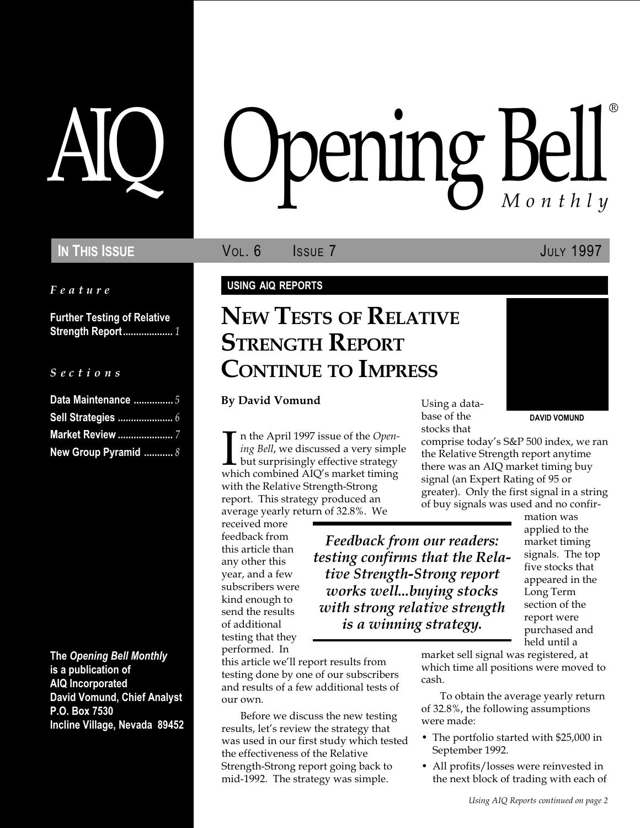Feature

Further Testing of Relative Strength Report................... 1

#### S e c t i o n s

| Data Maintenance  5     |  |
|-------------------------|--|
|                         |  |
| <b>Market Review </b> 7 |  |
| New Group Pyramid  8    |  |

The Opening Bell Monthly is a publication of AIQ Incorporated David Vomund, Chief Analyst P.O. Box 7530 Incline Village, Nevada 89452

# pening Bell ®

IN THIS ISSUE **VOL. 6** ISSUE 7 JULY 1997

#### USING AIQ REPORTS

## NEW TESTS OF RELATIVE STRENGTH REPORT CONTINUE TO IMPRESS

By David Vomund

 $\prod_{\text{whi}}$ n the April 1997 issue of the Opening Bell, we discussed a very simple but surprisingly effective strategy which combined AIQ's market timing with the Relative Strength-Strong report. This strategy produced an average yearly return of 32.8%. We

received more feedback from this article than any other this year, and a few subscribers were kind enough to send the results of additional testing that they performed. In

this article we'll report results from testing done by one of our subscribers and results of a few additional tests of our own.

Before we discuss the new testing results, let's review the strategy that was used in our first study which tested the effectiveness of the Relative Strength-Strong report going back to mid-1992. The strategy was simple.

Using a database of the stocks that

comprise today's S&P 500 index, we ran the Relative Strength report anytime there was an AIQ market timing buy signal (an Expert Rating of 95 or greater). Only the first signal in a string of buy signals was used and no confir-

Feedback from our readers: testing confirms that the Relative Strength-Strong report works well...buying stocks with strong relative strength is a winning strategy.

mation was applied to the market timing signals. The top five stocks that appeared in the Long Term section of the report were purchased and held until a

DAVID VOMUND

market sell signal was registered, at which time all positions were moved to cash.

To obtain the average yearly return of 32.8%, the following assumptions were made:

- The portfolio started with \$25,000 in September 1992.
- All profits/losses were reinvested in the next block of trading with each of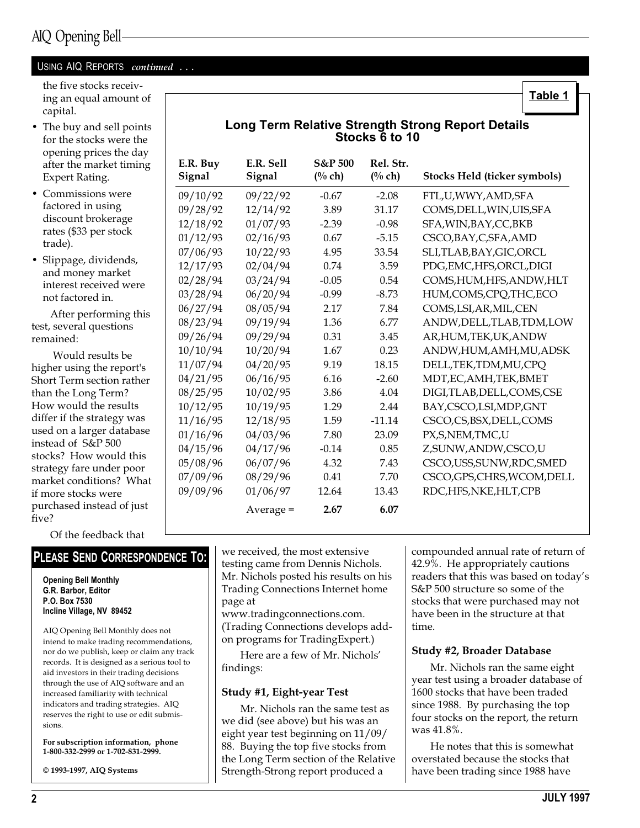#### USING AIQ REPORTS continued ...

the five stocks receiving an equal amount of capital.

- The buy and sell points for the stocks were the opening prices the day after the market timing Expert Rating.
- Commissions were factored in using discount brokerage rates (\$33 per stock trade).
- Slippage, dividends, and money market interest received were not factored in.

After performing this test, several questions remained:

 Would results be higher using the report's Short Term section rather than the Long Term? How would the results differ if the strategy was used on a larger database instead of S&P 500 stocks? How would this strategy fare under poor market conditions? What if more stocks were purchased instead of just five?

| E.R. Buy<br>Signal | E.R. Sell<br>Signal | <b>S&amp;P 500</b><br>$(\%$ ch) | Rel. Str.<br>(% ch) | <b>Stocks Held (ticker symbols)</b> |
|--------------------|---------------------|---------------------------------|---------------------|-------------------------------------|
| 09/10/92           | 09/22/92            | $-0.67$                         | $-2.08$             | FTL,U,WWY,AMD,SFA                   |
| 09/28/92           | 12/14/92            | 3.89                            | 31.17               | COMS, DELL, WIN, UIS, SFA           |
| 12/18/92           | 01/07/93            | $-2.39$                         | $-0.98$             | SFA, WIN, BAY, CC, BKB              |
| 01/12/93           | 02/16/93            | 0.67                            | $-5.15$             | CSCO, BAY, C, SFA, AMD              |
| 07/06/93           | 10/22/93            | 4.95                            | 33.54               | SLI,TLAB,BAY,GIC,ORCL               |
| 12/17/93           | 02/04/94            | 0.74                            | 3.59                | PDG, EMC, HFS, ORCL, DIGI           |
| 02/28/94           | 03/24/94            | $-0.05$                         | 0.54                | COMS, HUM, HFS, ANDW, HLT           |
| 03/28/94           | 06/20/94            | $-0.99$                         | $-8.73$             | HUM,COMS,CPQ,THC,ECO                |
| 06/27/94           | 08/05/94            | 2.17                            | 7.84                | COMS, LSI, AR, MIL, CEN             |
| 08/23/94           | 09/19/94            | 1.36                            | 6.77                | ANDW, DELL, TLAB, TDM, LOW          |
| 09/26/94           | 09/29/94            | 0.31                            | 3.45                | AR, HUM, TEK, UK, ANDW              |
| 10/10/94           | 10/20/94            | 1.67                            | 0.23                | ANDW,HUM,AMH,MU,ADSK                |
| 11/07/94           | 04/20/95            | 9.19                            | 18.15               | DELL, TEK, TDM, MU, CPQ             |
| 04/21/95           | 06/16/95            | 6.16                            | $-2.60$             | MDT, EC, AMH, TEK, BMET             |
| 08/25/95           | 10/02/95            | 3.86                            | 4.04                | DIGI,TLAB,DELL,COMS,CSE             |
| 10/12/95           | 10/19/95            | 1.29                            | 2.44                | BAY, CSCO, LSI, MDP, GNT            |
| 11/16/95           | 12/18/95            | 1.59                            | $-11.14$            | CSCO,CS,BSX,DELL,COMS               |
| 01/16/96           | 04/03/96            | 7.80                            | 23.09               | PX, S, NEM, TMC, U                  |
| 04/15/96           | 04/17/96            | $-0.14$                         | 0.85                | Z,SUNW,ANDW,CSCO,U                  |
| 05/08/96           | 06/07/96            | 4.32                            | 7.43                | CSCO, USS, SUNW, RDC, SMED          |
| 07/09/96           | 08/29/96            | 0.41                            | 7.70                | CSCO, GPS, CHRS, WCOM, DELL         |
| 09/09/96           | 01/06/97            | 12.64                           | 13.43               | RDC,HFS,NKE,HLT,CPB                 |
|                    | $Average =$         | 2.67                            | 6.07                |                                     |

Long Term Relative Strength Strong Report Details Stocks 6 to 10

Of the feedback that

#### PLEASE SEND CORRESPONDENCE TO:

Opening Bell Monthly G.R. Barbor, Editor P.O. Box 7530 Incline Village, NV 89452

AIQ Opening Bell Monthly does not intend to make trading recommendations, nor do we publish, keep or claim any track records. It is designed as a serious tool to aid investors in their trading decisions through the use of AIQ software and an increased familiarity with technical indicators and trading strategies. AIQ reserves the right to use or edit submissions.

For subscription information, phone 1-800-332-2999 or 1-702-831-2999.

© 1993-1997, AIQ Systems

we received, the most extensive testing came from Dennis Nichols. Mr. Nichols posted his results on his Trading Connections Internet home page at

www.tradingconnections.com. (Trading Connections develops addon programs for TradingExpert.)

Here are a few of Mr. Nichols findings:

#### Study #1, Eight-year Test

Mr. Nichols ran the same test as we did (see above) but his was an eight year test beginning on 11/09/ 88. Buying the top five stocks from the Long Term section of the Relative Strength-Strong report produced a

compounded annual rate of return of 42.9%. He appropriately cautions readers that this was based on today's S&P 500 structure so some of the stocks that were purchased may not have been in the structure at that time.

Table 1

#### Study #2, Broader Database

Mr. Nichols ran the same eight year test using a broader database of 1600 stocks that have been traded since 1988. By purchasing the top four stocks on the report, the return was 41.8%.

He notes that this is somewhat overstated because the stocks that have been trading since 1988 have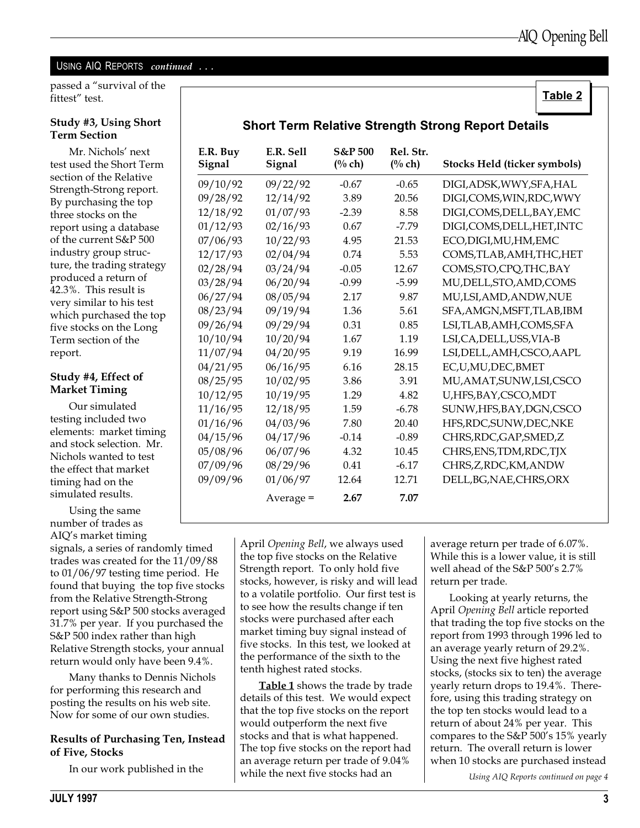Table 2

### USING AIQ REPORTS continued ...

passed a "survival of the fittest" test.

#### Study #3, Using Short Term Section

Mr. Nichols' next test used the Short Term section of the Relative Strength-Strong report. By purchasing the top three stocks on the report using a database of the current S&P 500 industry group structure, the trading strategy produced a return of 42.3%. This result is very similar to his test which purchased the top five stocks on the Long Term section of the report.

#### Study #4, Effect of Market Timing

Our simulated testing included two elements: market timing and stock selection. Mr. Nichols wanted to test the effect that market timing had on the simulated results.

Using the same number of trades as AIQ's market timing signals, a series of randomly timed trades was created for the 11/09/88 to 01/06/97 testing time period. He found that buying the top five stocks from the Relative Strength-Strong report using S&P 500 stocks averaged 31.7% per year. If you purchased the S&P 500 index rather than high Relative Strength stocks, your annual return would only have been 9.4%.

Many thanks to Dennis Nichols for performing this research and posting the results on his web site. Now for some of our own studies.

#### Results of Purchasing Ten, Instead of Five, Stocks

In our work published in the

| <b>Short Term Relative Strength Strong Report Details</b> |  |  |  |  |  |
|-----------------------------------------------------------|--|--|--|--|--|
|-----------------------------------------------------------|--|--|--|--|--|

| E.R. Buy<br>Signal | E.R. Sell<br>Signal | <b>S&amp;P 500</b><br>$(\%$ ch) | Rel. Str.<br>(% ch) | <b>Stocks Held (ticker symbols)</b> |
|--------------------|---------------------|---------------------------------|---------------------|-------------------------------------|
| 09/10/92           | 09/22/92            | $-0.67$                         | $-0.65$             | DIGI, ADSK, WWY, SFA, HAL           |
| 09/28/92           | 12/14/92            | 3.89                            | 20.56               | DIGI,COMS,WIN,RDC,WWY               |
| 12/18/92           | 01/07/93            | $-2.39$                         | 8.58                | DIGI, COMS, DELL, BAY, EMC          |
| 01/12/93           | 02/16/93            | 0.67                            | $-7.79$             | DIGI,COMS,DELL,HET,INTC             |
| 07/06/93           | 10/22/93            | 4.95                            | 21.53               | ECO, DIGI, MU, HM, EMC              |
| 12/17/93           | 02/04/94            | 0.74                            | 5.53                | COMS, TLAB, AMH, THC, HET           |
| 02/28/94           | 03/24/94            | $-0.05$                         | 12.67               | COMS, STO, CPQ, THC, BAY            |
| 03/28/94           | 06/20/94            | $-0.99$                         | $-5.99$             | MU, DELL, STO, AMD, COMS            |
| 06/27/94           | 08/05/94            | 2.17                            | 9.87                | MU,LSI,AMD,ANDW,NUE                 |
| 08/23/94           | 09/19/94            | 1.36                            | 5.61                | SFA, AMGN, MSFT, TLAB, IBM          |
| 09/26/94           | 09/29/94            | 0.31                            | 0.85                | LSI,TLAB,AMH,COMS,SFA               |
| 10/10/94           | 10/20/94            | 1.67                            | 1.19                | LSI, CA, DELL, USS, VIA-B           |
| 11/07/94           | 04/20/95            | 9.19                            | 16.99               | LSI, DELL, AMH, CSCO, AAPL          |
| 04/21/95           | 06/16/95            | 6.16                            | 28.15               | EC,U,MU,DEC,BMET                    |
| 08/25/95           | 10/02/95            | 3.86                            | 3.91                | MU, AMAT, SUNW, LSI, CSCO           |
| 10/12/95           | 10/19/95            | 1.29                            | 4.82                | U,HFS,BAY,CSCO,MDT                  |
| 11/16/95           | 12/18/95            | 1.59                            | $-6.78$             | SUNW, HFS, BAY, DGN, CSCO           |
| 01/16/96           | 04/03/96            | 7.80                            | 20.40               | HFS,RDC,SUNW,DEC,NKE                |
| 04/15/96           | 04/17/96            | $-0.14$                         | $-0.89$             | CHRS, RDC, GAP, SMED, Z             |
| 05/08/96           | 06/07/96            | 4.32                            | 10.45               | CHRS, ENS, TDM, RDC, TJX            |
| 07/09/96           | 08/29/96            | 0.41                            | $-6.17$             | CHRS, Z, RDC, KM, ANDW              |
| 09/09/96           | 01/06/97            | 12.64                           | 12.71               | DELL, BG, NAE, CHRS, ORX            |
|                    | $Average =$         | 2.67                            | 7.07                |                                     |

April Opening Bell, we always used the top five stocks on the Relative Strength report. To only hold five stocks, however, is risky and will lead to a volatile portfolio. Our first test is to see how the results change if ten stocks were purchased after each market timing buy signal instead of five stocks. In this test, we looked at the performance of the sixth to the tenth highest rated stocks.

**Table 1** shows the trade by trade details of this test. We would expect that the top five stocks on the report would outperform the next five stocks and that is what happened. The top five stocks on the report had an average return per trade of 9.04% while the next five stocks had an

average return per trade of 6.07%. While this is a lower value, it is still well ahead of the S&P 500's 2.7% return per trade.

Looking at yearly returns, the April Opening Bell article reported that trading the top five stocks on the report from 1993 through 1996 led to an average yearly return of 29.2%. Using the next five highest rated stocks, (stocks six to ten) the average yearly return drops to 19.4%. Therefore, using this trading strategy on the top ten stocks would lead to a return of about 24% per year. This compares to the  $S\&P 500's 15\%$  yearly return. The overall return is lower when 10 stocks are purchased instead

Using AIQ Reports continued on page 4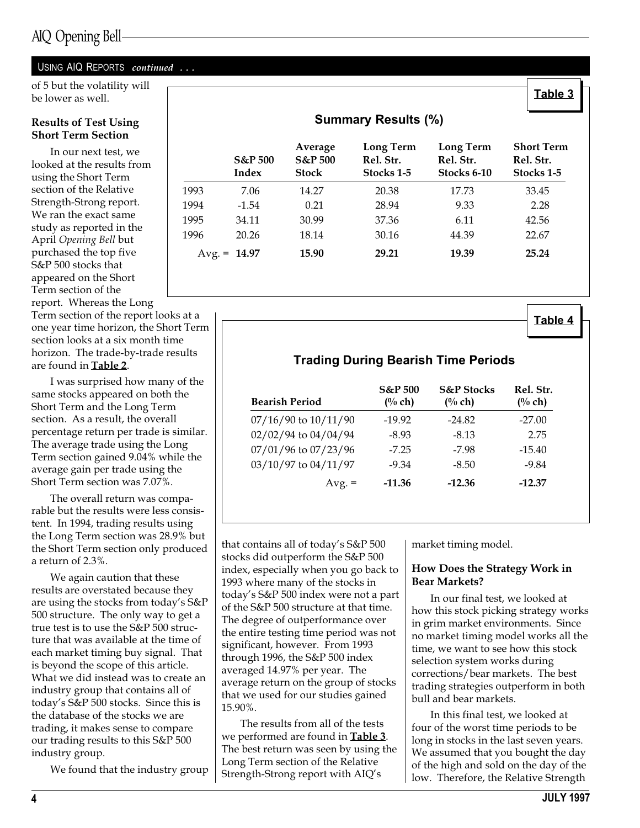#### USING AIQ REPORTS continued ...

of 5 but the volatility will<br>he lower as well **Table 3** be lower as well.

#### Results of Test Using Short Term Section

In our next test, we looked at the results from using the Short Term section of the Relative Strength-Strong report. We ran the exact same study as reported in the April Opening Bell but purchased the top five S&P 500 stocks that appeared on the Short Term section of the report. Whereas the Long

Term section of the report looks at a one year time horizon, the Short Term section looks at a six month time horizon. The trade-by-trade results are found in Table 2.

I was surprised how many of the same stocks appeared on both the Short Term and the Long Term section. As a result, the overall percentage return per trade is similar. The average trade using the Long Term section gained 9.04% while the average gain per trade using the Short Term section was 7.07%.

The overall return was comparable but the results were less consistent. In 1994, trading results using the Long Term section was 28.9% but the Short Term section only produced a return of 2.3%.

We again caution that these results are overstated because they are using the stocks from today's S&P 500 structure. The only way to get a true test is to use the S&P 500 structure that was available at the time of each market timing buy signal. That is beyond the scope of this article. What we did instead was to create an industry group that contains all of today's S&P 500 stocks. Since this is the database of the stocks we are trading, it makes sense to compare our trading results to this S&P 500 industry group.

We found that the industry group

|          | <b>Summary Results (%)</b>  |                                               |                                      |                                              |                                              |  |  |  |
|----------|-----------------------------|-----------------------------------------------|--------------------------------------|----------------------------------------------|----------------------------------------------|--|--|--|
|          | <b>S&amp;P</b> 500<br>Index | Average<br><b>S&amp;P 500</b><br><b>Stock</b> | Long Term<br>Rel. Str.<br>Stocks 1-5 | <b>Long Term</b><br>Rel. Str.<br>Stocks 6-10 | <b>Short Term</b><br>Rel. Str.<br>Stocks 1-5 |  |  |  |
| 1993     | 7.06                        | 14.27                                         | 20.38                                | 17.73                                        | 33.45                                        |  |  |  |
| 1994     | $-1.54$                     | 0.21                                          | 28.94                                | 9.33                                         | 2.28                                         |  |  |  |
| 1995     | 34.11                       | 30.99                                         | 37.36                                | 6.11                                         | 42.56                                        |  |  |  |
| 1996     | 20.26                       | 18.14                                         | 30.16                                | 44.39                                        | 22.67                                        |  |  |  |
| $Avg. =$ | 14.97                       | 15.90                                         | 29.21                                | 19.39                                        | 25.24                                        |  |  |  |

Table 4

| <b>Bearish Period</b>    | <b>S&amp;P</b> 500<br>$(%$ ch) | <b>S&amp;P</b> Stocks<br>(% ch) | Rel. Str.<br>$(\%$ ch) |
|--------------------------|--------------------------------|---------------------------------|------------------------|
| $07/16/90$ to $10/11/90$ | $-19.92$                       | $-24.82$                        | $-27.00$               |
| 02/02/94 to 04/04/94     | $-8.93$                        | $-8.13$                         | 2.75                   |
| 07/01/96 to 07/23/96     | $-7.25$                        | -7.98                           | $-15.40$               |
| 03/10/97 to 04/11/97     | $-9.34$                        | $-8.50$                         | $-9.84$                |
| $Avg. =$                 | $-11.36$                       | $-12.36$                        | $-12.37$               |

Trading During Bearish Time Periods

that contains all of today's S&P 500 stocks did outperform the S&P 500 index, especially when you go back to 1993 where many of the stocks in today's S&P 500 index were not a part of the S&P 500 structure at that time. The degree of outperformance over the entire testing time period was not significant, however. From 1993 through 1996, the S&P 500 index averaged 14.97% per year. The average return on the group of stocks that we used for our studies gained 15.90%.

The results from all of the tests we performed are found in Table 3. The best return was seen by using the Long Term section of the Relative Strength-Strong report with AIQ's

market timing model.

#### How Does the Strategy Work in Bear Markets?

In our final test, we looked at how this stock picking strategy works in grim market environments. Since no market timing model works all the time, we want to see how this stock selection system works during corrections/bear markets. The best trading strategies outperform in both bull and bear markets.

In this final test, we looked at four of the worst time periods to be long in stocks in the last seven years. We assumed that you bought the day of the high and sold on the day of the low. Therefore, the Relative Strength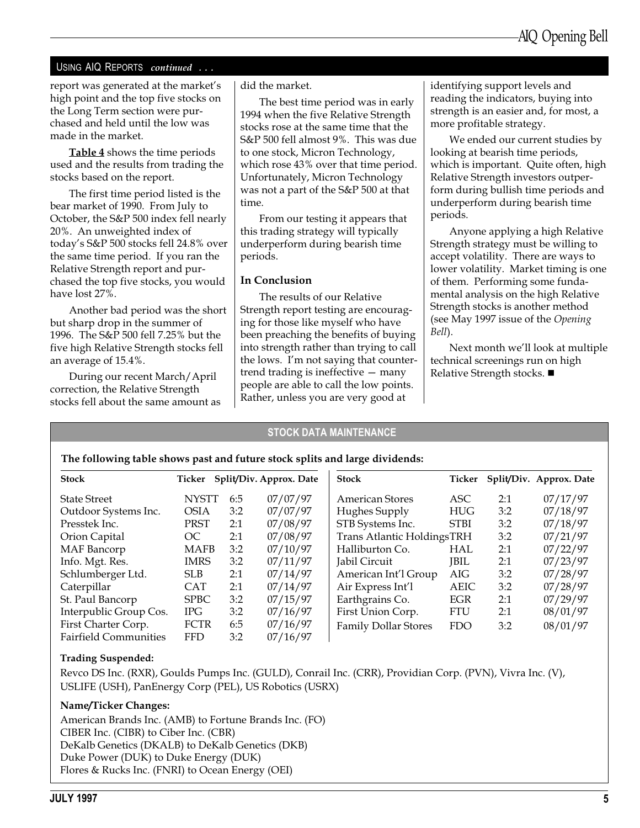#### USING AIQ REPORTS continued ...

report was generated at the market's high point and the top five stocks on the Long Term section were purchased and held until the low was made in the market.

Table 4 shows the time periods used and the results from trading the stocks based on the report.

The first time period listed is the bear market of 1990. From July to October, the S&P 500 index fell nearly 20%. An unweighted index of today's S&P 500 stocks fell 24.8% over the same time period. If you ran the Relative Strength report and purchased the top five stocks, you would have lost 27%.

Another bad period was the short but sharp drop in the summer of 1996. The S&P 500 fell 7.25% but the five high Relative Strength stocks fell an average of 15.4%.

During our recent March/April correction, the Relative Strength stocks fell about the same amount as did the market.

The best time period was in early 1994 when the five Relative Strength stocks rose at the same time that the S&P 500 fell almost 9%. This was due to one stock, Micron Technology, which rose 43% over that time period. Unfortunately, Micron Technology was not a part of the S&P 500 at that time.

From our testing it appears that this trading strategy will typically underperform during bearish time periods.

#### In Conclusion

The results of our Relative Strength report testing are encouraging for those like myself who have been preaching the benefits of buying into strength rather than trying to call the lows. I'm not saying that countertrend trading is ineffective  $-$  many people are able to call the low points. Rather, unless you are very good at

identifying support levels and reading the indicators, buying into strength is an easier and, for most, a more profitable strategy.

We ended our current studies by looking at bearish time periods, which is important. Quite often, high Relative Strength investors outperform during bullish time periods and underperform during bearish time periods.

Anyone applying a high Relative Strength strategy must be willing to accept volatility. There are ways to lower volatility. Market timing is one of them. Performing some fundamental analysis on the high Relative Strength stocks is another method (see May 1997 issue of the Opening Bell).

Next month we'll look at multiple technical screenings run on high Relative Strength stocks.  $\blacksquare$ 

#### STOCK DATA MAINTENANCE

#### The following table shows past and future stock splits and large dividends:

| <b>Stock</b>                 | Ticker       |     | Split/Div. Approx. Date | <b>Stock</b>                      | Ticker      |     | Split/Div. Approx. Date |
|------------------------------|--------------|-----|-------------------------|-----------------------------------|-------------|-----|-------------------------|
| <b>State Street</b>          | <b>NYSTT</b> | 6:5 | 07/07/97                | <b>American Stores</b>            | ASC         | 2:1 | 07/17/97                |
| Outdoor Systems Inc.         | <b>OSIA</b>  | 3:2 | 07/07/97                | Hughes Supply                     | <b>HUG</b>  | 3:2 | 07/18/97                |
| Presstek Inc.                | <b>PRST</b>  | 2:1 | 07/08/97                | STB Systems Inc.                  | <b>STBI</b> | 3:2 | 07/18/97                |
| Orion Capital                | OC           | 2:1 | 07/08/97                | <b>Trans Atlantic HoldingsTRH</b> |             | 3:2 | 07/21/97                |
| <b>MAF</b> Bancorp           | <b>MAFB</b>  | 3:2 | 07/10/97                | Halliburton Co.                   | HAL         | 2:1 | 07/22/97                |
| Info. Mgt. Res.              | <b>IMRS</b>  | 3:2 | 07/11/97                | <b>Jabil Circuit</b>              | <b>JBIL</b> | 2:1 | 07/23/97                |
| Schlumberger Ltd.            | SLB.         | 2:1 | 07/14/97                | American Int'l Group              | AIG         | 3:2 | 07/28/97                |
| Caterpillar                  | <b>CAT</b>   | 2:1 | 07/14/97                | Air Express Int'l                 | <b>AEIC</b> | 3:2 | 07/28/97                |
| St. Paul Bancorp             | <b>SPBC</b>  | 3:2 | 07/15/97                | Earthgrains Co.                   | EGR         | 2:1 | 07/29/97                |
| Interpublic Group Cos.       | IPG.         | 3:2 | 07/16/97                | First Union Corp.                 | <b>FTU</b>  | 2:1 | 08/01/97                |
| First Charter Corp.          | <b>FCTR</b>  | 6:5 | 07/16/97                | <b>Family Dollar Stores</b>       | <b>FDO</b>  | 3:2 | 08/01/97                |
| <b>Fairfield Communities</b> | <b>FFD</b>   | 3:2 | 07/16/97                |                                   |             |     |                         |

#### Trading Suspended:

Revco DS Inc. (RXR), Goulds Pumps Inc. (GULD), Conrail Inc. (CRR), Providian Corp. (PVN), Vivra Inc. (V), USLIFE (USH), PanEnergy Corp (PEL), US Robotics (USRX)

#### Name/Ticker Changes:

American Brands Inc. (AMB) to Fortune Brands Inc. (FO) CIBER Inc. (CIBR) to Ciber Inc. (CBR) DeKalb Genetics (DKALB) to DeKalb Genetics (DKB) Duke Power (DUK) to Duke Energy (DUK) Flores & Rucks Inc. (FNRI) to Ocean Energy (OEI)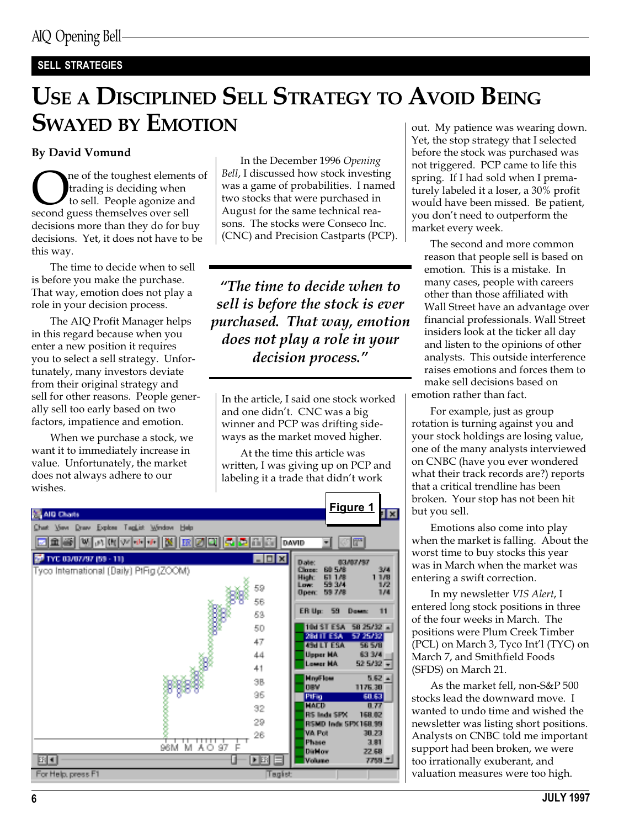### SELL STRATEGIES

# USE A DISCIPLINED SELL STRATEGY TO AVOID BEING SWAYED BY EMOTION

#### By David Vomund

One of the toughest elements of<br>trading is deciding when<br>second guess themselves over sell trading is deciding when to sell. People agonize and decisions more than they do for buy decisions. Yet, it does not have to be this way.

The time to decide when to sell is before you make the purchase. That way, emotion does not play a role in your decision process.

The AIQ Profit Manager helps in this regard because when you enter a new position it requires you to select a sell strategy. Unfortunately, many investors deviate from their original strategy and sell for other reasons. People generally sell too early based on two factors, impatience and emotion.

When we purchase a stock, we want it to immediately increase in value. Unfortunately, the market does not always adhere to our wishes.

In the December 1996 Opening Bell, I discussed how stock investing was a game of probabilities. I named two stocks that were purchased in August for the same technical reasons. The stocks were Conseco Inc. (CNC) and Precision Castparts (PCP).

The time to decide when to sell is before the stock is ever purchased. That way, emotion does not play a role in your decision process."

In the article, I said one stock worked and one didn't. CNC was a big winner and PCP was drifting sideways as the market moved higher.

At the time this article was written, I was giving up on PCP and labeling it a trade that didn't work



out. My patience was wearing down. Yet, the stop strategy that I selected before the stock was purchased was not triggered. PCP came to life this spring. If I had sold when I prematurely labeled it a loser, a 30% profit would have been missed. Be patient, you don't need to outperform the market every week.

The second and more common reason that people sell is based on emotion. This is a mistake. In many cases, people with careers other than those affiliated with Wall Street have an advantage over financial professionals. Wall Street insiders look at the ticker all day and listen to the opinions of other analysts. This outside interference raises emotions and forces them to make sell decisions based on

emotion rather than fact.

For example, just as group rotation is turning against you and your stock holdings are losing value, one of the many analysts interviewed on CNBC (have you ever wondered what their track records are?) reports that a critical trendline has been broken. Your stop has not been hit but you sell.

Emotions also come into play when the market is falling. About the worst time to buy stocks this year was in March when the market was entering a swift correction.

In my newsletter VIS Alert, I entered long stock positions in three of the four weeks in March. The positions were Plum Creek Timber (PCL) on March 3, Tyco Int'l (TYC) on March 7, and Smithfield Foods (SFDS) on March 21.

As the market fell, non-S&P 500 stocks lead the downward move. I wanted to undo time and wished the newsletter was listing short positions. Analysts on CNBC told me important support had been broken, we were too irrationally exuberant, and valuation measures were too high.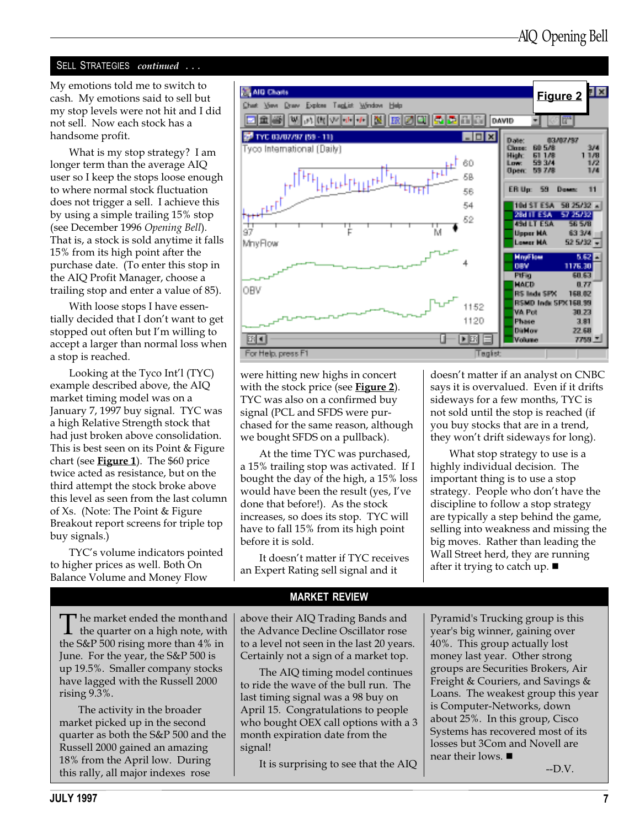#### SELL STRATEGIES continued ...

My emotions told me to switch to cash. My emotions said to sell but my stop levels were not hit and I did not sell. Now each stock has a handsome profit.

What is my stop strategy? I am longer term than the average AIQ user so I keep the stops loose enough to where normal stock fluctuation does not trigger a sell. I achieve this by using a simple trailing 15% stop (see December 1996 Opening Bell). That is, a stock is sold anytime it falls 15% from its high point after the purchase date. (To enter this stop in the AIQ Profit Manager, choose a trailing stop and enter a value of 85).

With loose stops I have essentially decided that I don't want to get stopped out often but I'm willing to accept a larger than normal loss when a stop is reached.

Looking at the Tyco Int'l (TYC) example described above, the AIQ market timing model was on a January 7, 1997 buy signal. TYC was a high Relative Strength stock that had just broken above consolidation. This is best seen on its Point & Figure chart (see  $Figure 1$ ). The \$60 price twice acted as resistance, but on the third attempt the stock broke above this level as seen from the last column of Xs. (Note: The Point & Figure Breakout report screens for triple top buy signals.)

TYC's volume indicators pointed to higher prices as well. Both On Balance Volume and Money Flow



were hitting new highs in concert with the stock price (see Figure 2). TYC was also on a confirmed buy signal (PCL and SFDS were purchased for the same reason, although we bought SFDS on a pullback).

At the time TYC was purchased, a 15% trailing stop was activated. If I bought the day of the high, a 15% loss would have been the result (yes, I've done that before!). As the stock increases, so does its stop. TYC will have to fall 15% from its high point before it is sold.

It doesn't matter if TYC receives an Expert Rating sell signal and it

doesn't matter if an analyst on CNBC says it is overvalued. Even if it drifts sideways for a few months, TYC is not sold until the stop is reached (if you buy stocks that are in a trend, they won't drift sideways for long).

What stop strategy to use is a highly individual decision. The important thing is to use a stop strategy. People who don't have the discipline to follow a stop strategy are typically a step behind the game, selling into weakness and missing the big moves. Rather than leading the Wall Street herd, they are running after it trying to catch up.  $\blacksquare$ 

The market ended the month and<br>the quarter on a high note, with<br>the  $\frac{C}{n}$  B 500 giving magnethen 4% in the S&P 500 rising more than 4% in June. For the year, the S&P 500 is up 19.5%. Smaller company stocks have lagged with the Russell 2000 rising 9.3%.

The activity in the broader market picked up in the second quarter as both the S&P 500 and the Russell 2000 gained an amazing 18% from the April low. During this rally, all major indexes rose

MARKET REVIEW

above their AIQ Trading Bands and the Advance Decline Oscillator rose to a level not seen in the last 20 years. Certainly not a sign of a market top.

The AIQ timing model continues to ride the wave of the bull run. The last timing signal was a 98 buy on April 15. Congratulations to people who bought OEX call options with a 3 month expiration date from the signal!

It is surprising to see that the AIQ

Pyramid's Trucking group is this year's big winner, gaining over 40%. This group actually lost money last year. Other strong groups are Securities Brokers, Air Freight & Couriers, and Savings & Loans. The weakest group this year is Computer-Networks, down about 25%. In this group, Cisco Systems has recovered most of its losses but 3Com and Novell are near their lows.  $\blacksquare$ 

--D.V.